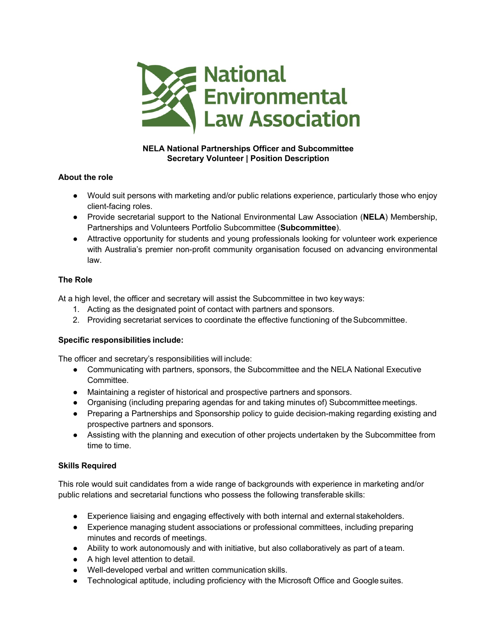

# **NELA National Partnerships Officer and Subcommittee Secretary Volunteer | Position Description**

## **About the role**

- Would suit persons with marketing and/or public relations experience, particularly those who enjoy client-facing roles.
- Provide secretarial support to the National Environmental Law Association (**NELA**) Membership, Partnerships and Volunteers Portfolio Subcommittee (**Subcommittee**).
- Attractive opportunity for students and young professionals looking for volunteer work experience with Australia's premier non-profit community organisation focused on advancing environmental law.

# **The Role**

At a high level, the officer and secretary will assist the Subcommittee in two key ways:

- 1. Acting as the designated point of contact with partners and sponsors.
- 2. Providing secretariat services to coordinate the effective functioning of theSubcommittee.

## **Specific responsibilities include:**

The officer and secretary's responsibilities will include:

- Communicating with partners, sponsors, the Subcommittee and the NELA National Executive Committee.
- Maintaining a register of historical and prospective partners and sponsors.
- Organising (including preparing agendas for and taking minutes of) Subcommittee meetings.
- Preparing a Partnerships and Sponsorship policy to guide decision-making regarding existing and prospective partners and sponsors.
- Assisting with the planning and execution of other projects undertaken by the Subcommittee from time to time.

## **Skills Required**

This role would suit candidates from a wide range of backgrounds with experience in marketing and/or public relations and secretarial functions who possess the following transferable skills:

- Experience liaising and engaging effectively with both internal and external stakeholders.
- Experience managing student associations or professional committees, including preparing minutes and records of meetings.
- Ability to work autonomously and with initiative, but also collaboratively as part of a team.
- A high level attention to detail.
- Well-developed verbal and written communication skills.
- Technological aptitude, including proficiency with the Microsoft Office and Google suites.